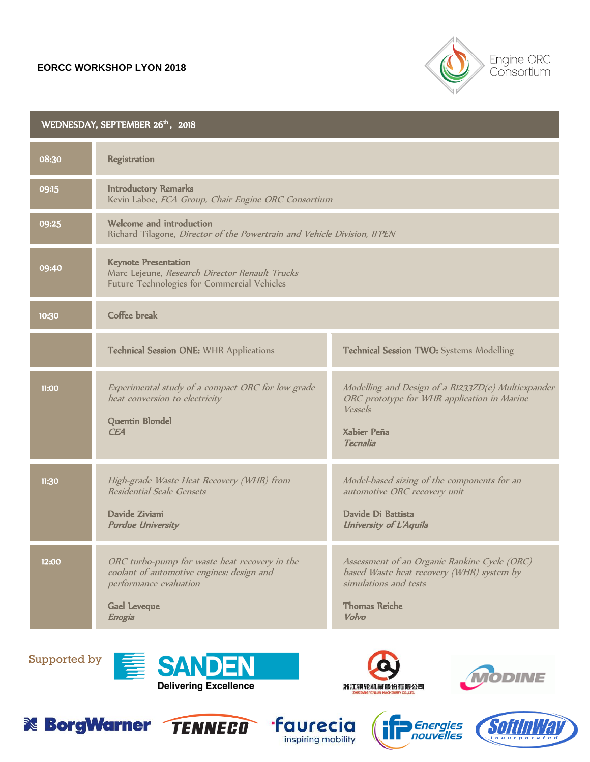## **EORCC WORKSHOP LYON 2018**



## WEDNESDAY, SEPTEMBER 26<sup>th</sup>, 2018 08:30 Registration 09:15 Introductory Remarks Kevin Laboe, FCA Group, Chair Engine ORC Consortium 09:25 Welcome and introduction Richard Tilagone, Director of the Powertrain and Vehicle Division, IFPEN 09:40 Keynote Presentation Marc Lejeune, Research Director Renault Trucks Future Technologies for Commercial Vehicles 10:30 Coffee break Technical Session ONE: WHR Applications Technical Session TWO: Systems Modelling 11:00 Experimental study of a compact ORC for low grade heat conversion to electricity Quentin Blondel **CEA** Modelling and Design of a R1233ZD(e) Multiexpander ORC prototype for WHR application in Marine Vessels Xabier Peña Tecnalia 11:30 High-grade Waste Heat Recovery (WHR) from Residential Scale Gensets Davide Ziviani Purdue University Model-based sizing of the components for an automotive ORC recovery unit Davide Di Battista University of L'Aquila 12:00 ORC turbo-pump for waste heat recovery in the coolant of automotive engines: design and performance evaluation Gael Leveque Enogia Assessment of an Organic Rankine Cycle (ORC) based Waste heat recovery (WHR) system by simulations and tests Thomas Reiche Volvo

Supported by















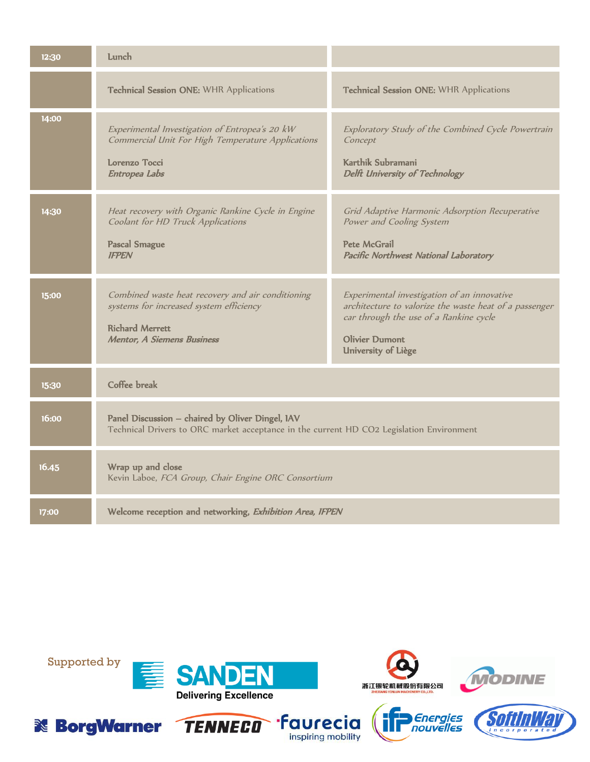| 12:30 | Lunch                                                                                                                                                       |                                                                                                                                                                                                 |
|-------|-------------------------------------------------------------------------------------------------------------------------------------------------------------|-------------------------------------------------------------------------------------------------------------------------------------------------------------------------------------------------|
|       | Technical Session ONE: WHR Applications                                                                                                                     | Technical Session ONE: WHR Applications                                                                                                                                                         |
| 14:00 | Experimental Investigation of Entropea's 20 kW<br>Commercial Unit For High Temperature Applications<br>Lorenzo Tocci<br>Entropea Labs                       | Exploratory Study of the Combined Cycle Powertrain<br>Concept<br>Karthik Subramani<br>Delft University of Technology                                                                            |
| 14:30 | Heat recovery with Organic Rankine Cycle in Engine<br>Coolant for HD Truck Applications<br><b>Pascal Smague</b><br><b>IFPEN</b>                             | Grid Adaptive Harmonic Adsorption Recuperative<br>Power and Cooling System<br>Pete McGrail<br>Pacific Northwest National Laboratory                                                             |
| 15:00 | Combined waste heat recovery and air conditioning<br>systems for increased system efficiency<br><b>Richard Merrett</b><br><b>Mentor, A Siemens Business</b> | Experimental investigation of an innovative<br>architecture to valorize the waste heat of a passenger<br>car through the use of a Rankine cycle<br><b>Olivier Dumont</b><br>University of Liège |
| 15:30 | Coffee break                                                                                                                                                |                                                                                                                                                                                                 |
| 16:00 | Panel Discussion - chaired by Oliver Dingel, IAV<br>Technical Drivers to ORC market acceptance in the current HD CO2 Legislation Environment                |                                                                                                                                                                                                 |
| 16.45 | Wrap up and close<br>Kevin Laboe, FCA Group, Chair Engine ORC Consortium                                                                                    |                                                                                                                                                                                                 |
| 17:00 | Welcome reception and networking, Exhibition Area, IFPEN                                                                                                    |                                                                                                                                                                                                 |

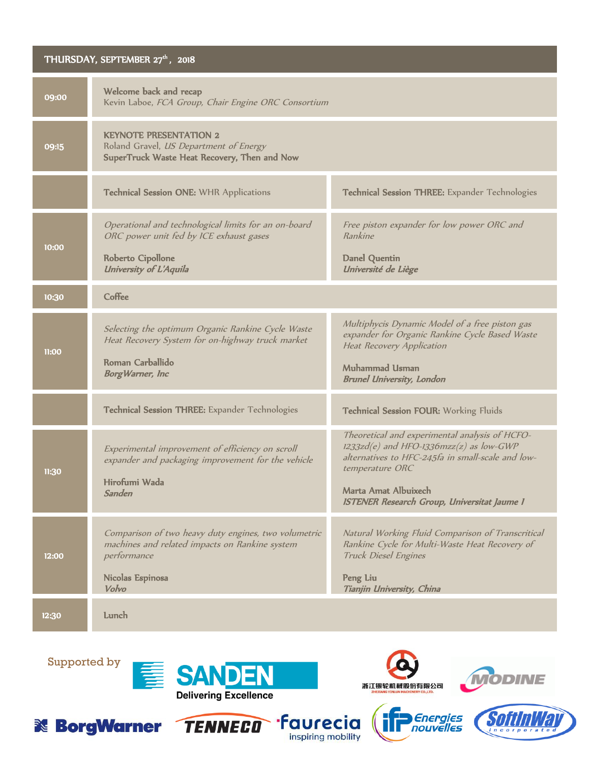## THURSDAY, SEPTEMBER 27<sup>th</sup>, 2018 09:00 Welcome back and recap Kevin Laboe, FCA Group, Chair Engine ORC Consortium 09:15 KEYNOTE PRESENTATION 2 Roland Gravel, US Department of Energy SuperTruck Waste Heat Recovery, Then and Now Technical Session ONE: WHR Applications Technical Session THREE: Expander Technologies 10:00 Operational and technological limits for an on-board ORC power unit fed by ICE exhaust gases Roberto Cipollone University of L'Aquila Free piston expander for low power ORC and Rankine Danel Quentin Université de Liège 10:30 Coffee 11:00 Selecting the optimum Organic Rankine Cycle Waste Heat Recovery System for on-highway truck market Roman Carballido BorgWarner, Inc Multiphycis Dynamic Model of a free piston gas expander for Organic Rankine Cycle Based Waste Heat Recovery Application Muhammad Usman Brunel University, London Technical Session THREE: Expander Technologies Technical Session FOUR: Working Fluids 11:30 Experimental improvement of efficiency on scroll expander and packaging improvement for the vehicle Hirofumi Wada Sanden Theoretical and experimental analysis of HCFO- $1233z$ d(e) and HFO-1336 $mzz(z)$  as low-GWP alternatives to HFC-245fa in small-scale and lowtemperature ORC Marta Amat Albuixech ISTENER Research Group, Universitat Jaume I 12:00 Comparison of two heavy duty engines, two volumetric machines and related impacts on Rankine system performance Nicolas Espinosa Volvo Natural Working Fluid Comparison of Transcritical Rankine Cycle for Multi-Waste Heat Recovery of Truck Diesel Engines Peng Liu Tianjin University, China 12:30 Lunch

Supported by











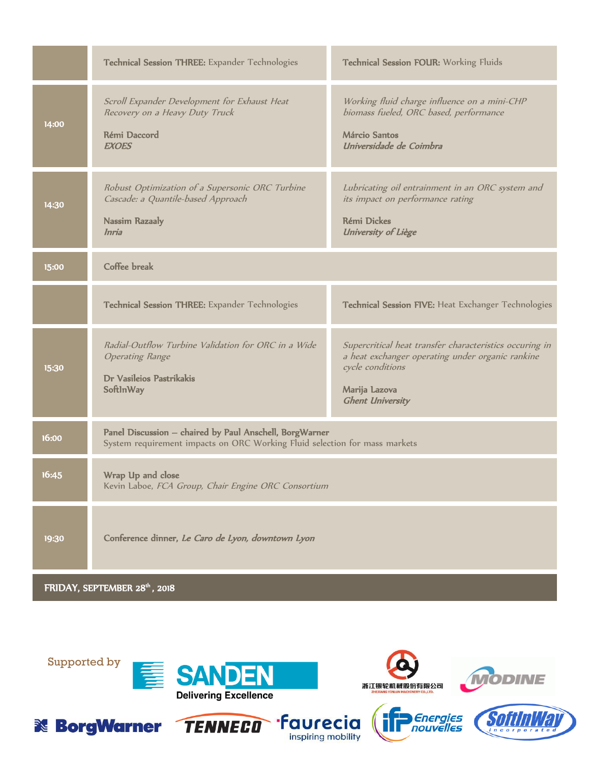|                              | Technical Session THREE: Expander Technologies                                                                                        | Technical Session FOUR: Working Fluids                                                                                                                                      |  |
|------------------------------|---------------------------------------------------------------------------------------------------------------------------------------|-----------------------------------------------------------------------------------------------------------------------------------------------------------------------------|--|
| 14:00                        | Scroll Expander Development for Exhaust Heat<br>Recovery on a Heavy Duty Truck<br>Rémi Daccord<br><b>EXOES</b>                        | Working fluid charge influence on a mini-CHP<br>biomass fueled, ORC based, performance<br><b>Márcio Santos</b><br>Universidade de Coimbra                                   |  |
| 14:30                        | Robust Optimization of a Supersonic ORC Turbine<br>Cascade: a Quantile-based Approach<br><b>Nassim Razaaly</b><br>Inria               | Lubricating oil entrainment in an ORC system and<br>its impact on performance rating<br><b>Rémi Dickes</b><br>University of Liège                                           |  |
| 15:00                        | Coffee break                                                                                                                          |                                                                                                                                                                             |  |
|                              | Technical Session THREE: Expander Technologies                                                                                        | Technical Session FIVE: Heat Exchanger Technologies                                                                                                                         |  |
| 15:30                        | Radial-Outflow Turbine Validation for ORC in a Wide<br><b>Operating Range</b><br>Dr Vasileios Pastrikakis<br>SoftInWay                | Supercritical heat transfer characteristics occuring in<br>a heat exchanger operating under organic rankine<br>cycle conditions<br>Marija Lazova<br><b>Ghent University</b> |  |
| 16:00                        | Panel Discussion - chaired by Paul Anschell, BorgWarner<br>System requirement impacts on ORC Working Fluid selection for mass markets |                                                                                                                                                                             |  |
| 16:45                        | Wrap Up and close<br>Kevin Laboe, FCA Group, Chair Engine ORC Consortium                                                              |                                                                                                                                                                             |  |
| 19:30                        | Conference dinner, Le Caro de Lyon, downtown Lyon                                                                                     |                                                                                                                                                                             |  |
| FRIDAY, SEPTEMBER 28th, 2018 |                                                                                                                                       |                                                                                                                                                                             |  |